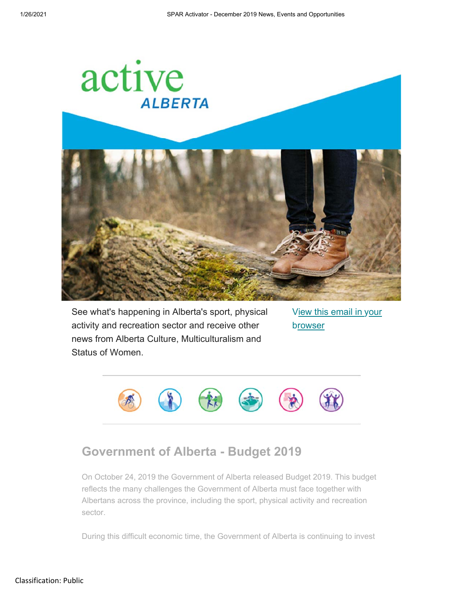

See what's happening in Alberta's sport, physical activity and recreation sector and receive other news from Alberta Culture, Multiculturalism and Status of Women.

View this email in your browser



# **Government of Alberta - Budget 2019**

On October 24, 2019 the Government of Alberta released Budget 2019. This budget reflects the many challenges the Government of Alberta must face together with Albertans across the province, including the sport, physical activity and recreation sector.

During this difficult economic time, the Government of Alberta is continuing to invest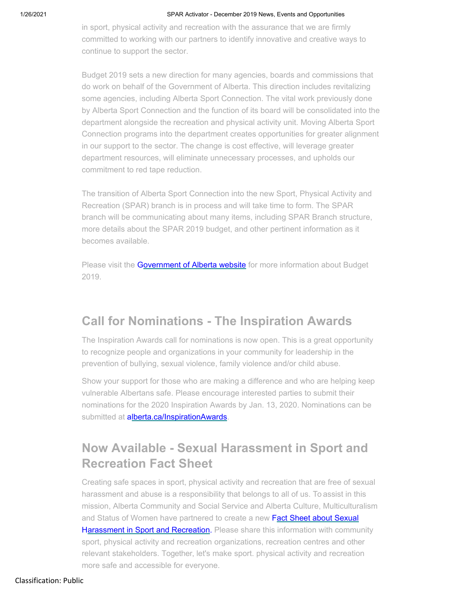#### 1/26/2021 SPAR Activator - December 2019 News, Events and Opportunities

in sport, physical activity and recreation with the assurance that we are firmly committed to working with our partners to identify innovative and creative ways to continue to support the sector.

Budget 2019 sets a new direction for many agencies, boards and commissions that do work on behalf of the Government of Alberta. This direction includes revitalizing some agencies, including Alberta Sport Connection. The vital work previously done by Alberta Sport Connection and the function of its board will be consolidated into the department alongside the recreation and physical activity unit. Moving Alberta Sport Connection programs into the department creates opportunities for greater alignment in our support to the sector. The change is cost effective, will leverage greater department resources, will eliminate unnecessary processes, and upholds our commitment to red tape reduction.

The transition of Alberta Sport Connection into the new Sport, Physical Activity and Recreation (SPAR) branch is in process and will take time to form. The SPAR branch will be communicating about many items, including SPAR Branch structure, more details about the SPAR 2019 budget, and other pertinent information as it becomes available.

Please visit the Government of Alberta website for more information about Budget 2019.

## **Call for Nominations - The Inspiration Awards**

The Inspiration Awards call for nominations is now open. This is a great opportunity to recognize people and organizations in your community for leadership in the prevention of bullying, sexual violence, family violence and/or child abuse.

Show your support for those who are making a difference and who are helping keep vulnerable Albertans safe. Please encourage interested parties to submit their nominations for the 2020 Inspiration Awards by Jan. 13, 2020. Nominations can be submitted at alberta.ca/InspirationAwards.

# **Now Available - Sexual Harassment in Sport and Recreation Fact Sheet**

Creating safe spaces in sport, physical activity and recreation that are free of sexual harassment and abuse is a responsibility that belongs to all of us. To assist in this mission, Alberta Community and Social Service and Alberta Culture, Multiculturalism and Status of Women have partnered to create a new Fact Sheet about Sexual Harassment in Sport and Recreation. Please share this information with community sport, physical activity and recreation organizations, recreation centres and other relevant stakeholders. Together, let's make sport. physical activity and recreation more safe and accessible for everyone.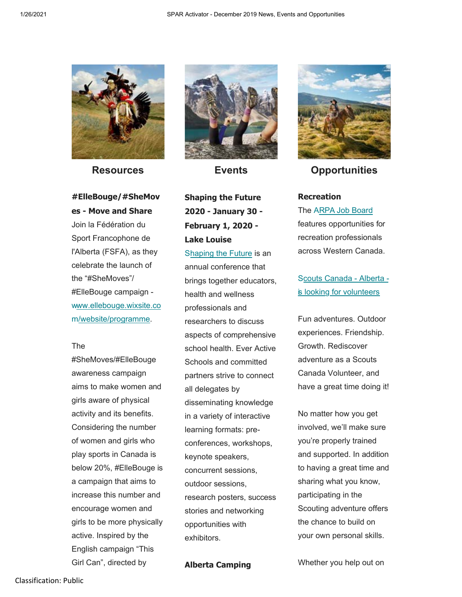

**Resources**

**#ElleBouge/#SheMov es - Move and Share**  Join la Fédération du Sport Francophone de l'Alberta (FSFA), as they celebrate the launch of the "#SheMoves"/ #ElleBouge campaign www.ellebouge.wixsite.co m/website/programme.

#### The

#SheMoves/#ElleBouge awareness campaign aims to make women and girls aware of physical activity and its benefits. Considering the number of women and girls who play sports in Canada is below 20%, #ElleBouge is a campaign that aims to increase this number and encourage women and girls to be more physically active. Inspired by the English campaign "This Girl Can", directed by



**Events**

## **Shaping the Future 2020 - January 30 - February 1, 2020 - Lake Louise**

Shaping the Future is an annual conference that brings together educators, health and wellness professionals and researchers to discuss aspects of comprehensive school health. Ever Active Schools and committed partners strive to connect all delegates by disseminating knowledge in a variety of interactive learning formats: preconferences, workshops, keynote speakers, concurrent sessions, outdoor sessions, research posters, success stories and networking opportunities with exhibitors.

**Alberta Camping**



**Opportunities**

### **Recreation**

The ARPA Job Board features opportunities for recreation professionals across Western Canada.

S couts Canada - Alberta is looking for volunteers

Fun adventures. Outdoor experiences. Friendship. Growth. Rediscover adventure as a Scouts Canada Volunteer, and have a great time doing it!

No matter how you get involved, we'll make sure you're properly trained and supported. In addition to having a great time and sharing what you know, participating in the Scouting adventure offers the chance to build on your own personal skills.

Whether you help out on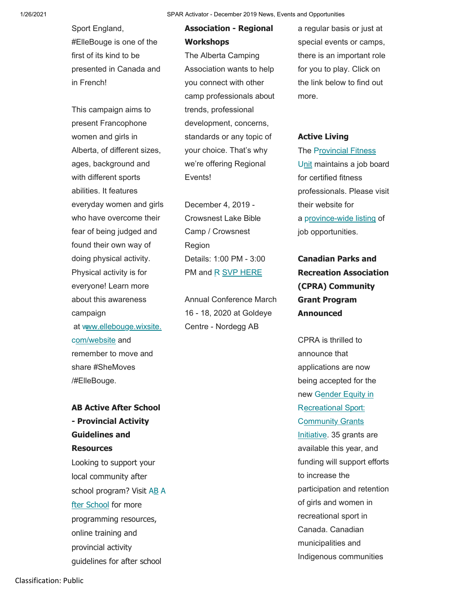1/26/2021 SPAR Activator - December 2019 News, Events and Opportunities

Sport England, #ElleBouge is one of the first of its kind to be presented in Canada and in French!

This campaign aims to present Francophone women and girls in Alberta, of different sizes, ages, background and with different sports abilities. It features everyday women and girls who have overcome their fear of being judged and found their own way of doing physical activity. Physical activity is for everyone! Learn more about this awareness campaign at www.ellebouge.wixsite. Centre - Nordegg AB com/website and remember to move and share #SheMoves

/#ElleBouge.

### **AB Active After School - Provincial Activity Guidelines and Resources**

Looking to support your local community after school program? Visit AB A fter School for more programming resources, online training and provincial activity guidelines for after school

## **Association - Regional Workshops**

The Alberta Camping Association wants to help you connect with other camp professionals about trends, professional development, concerns, standards or any topic of your choice. That's why we're offering Regional Events!

December 4, 2019 - Crowsnest Lake Bible Camp / Crowsnest Region Details: 1:00 PM - 3:00

Annual Conference March 16 - 18, 2020 at Goldeye

a regular basis or just at special events or camps, there is an important role for you to play. Click on the link below to find out more.

#### **Active Living**

The Provincial Fitness Unit maintains a job board for certified fitness professionals. Please visit their website for a province-wide listing of job opportunities.

## **Canadian Parks and** PM and R SVP HERE **Recreation Association (CPRA) Community Grant Program Announced**

CPRA is thrilled to announce that applications are now being accepted for the new Gender Equity in R ecreational Sport: **Community Grants** Initiative. 35 grants are available this year, and funding will support efforts to increase the participation and retention of girls and women in recreational sport in Canada. Canadian municipalities and Indigenous communities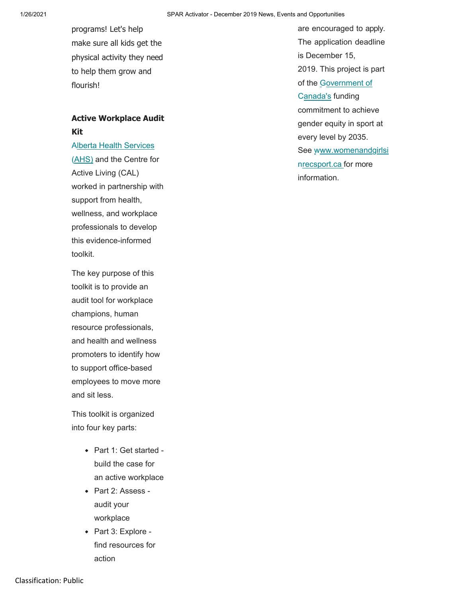programs! Let's help make sure all kids get the physical activity they need to help them grow and flourish! **contract the flourish!** of the Government of

### **Active Workplace Audit Kit**

(AHS) and the Centre for Active Living (CAL) worked in partnership with support from health, wellness, and workplace professionals to develop this evidence-informed toolkit.

The key purpose of this toolkit is to provide an audit tool for workplace champions, human resource professionals, and health and wellness promoters to identify how to support office-based employees to move more and sit less.

This toolkit is organized into four key parts:

- Part 1: Get started build the case for an active workplace
- Part 2: Assess audit your workplace
- Part 3: Explore find resources for action

are encouraged to apply. The application deadline is December 15, 2019. This project is part Canada's funding commitment to achieve gender equity in sport at every level by 2035. Alberta Health Services and Services See www.womenandgirlsi nrecsport.ca for more information.